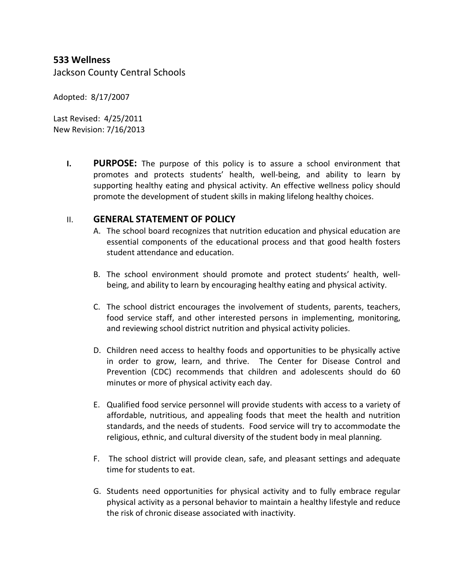# **533 Wellness**

Jackson County Central Schools

Adopted: 8/17/2007

Last Revised: 4/25/2011 New Revision: 7/16/2013

> **I. PURPOSE:** The purpose of this policy is to assure a school environment that promotes and protects students' health, well-being, and ability to learn by supporting healthy eating and physical activity. An effective wellness policy should promote the development of student skills in making lifelong healthy choices.

#### II. **GENERAL STATEMENT OF POLICY**

- A. The school board recognizes that nutrition education and physical education are essential components of the educational process and that good health fosters student attendance and education.
- B. The school environment should promote and protect students' health, wellbeing, and ability to learn by encouraging healthy eating and physical activity.
- C. The school district encourages the involvement of students, parents, teachers, food service staff, and other interested persons in implementing, monitoring, and reviewing school district nutrition and physical activity policies.
- D. Children need access to healthy foods and opportunities to be physically active in order to grow, learn, and thrive. The Center for Disease Control and Prevention (CDC) recommends that children and adolescents should do 60 minutes or more of physical activity each day.
- E. Qualified food service personnel will provide students with access to a variety of affordable, nutritious, and appealing foods that meet the health and nutrition standards, and the needs of students. Food service will try to accommodate the religious, ethnic, and cultural diversity of the student body in meal planning.
- F. The school district will provide clean, safe, and pleasant settings and adequate time for students to eat.
- G. Students need opportunities for physical activity and to fully embrace regular physical activity as a personal behavior to maintain a healthy lifestyle and reduce the risk of chronic disease associated with inactivity.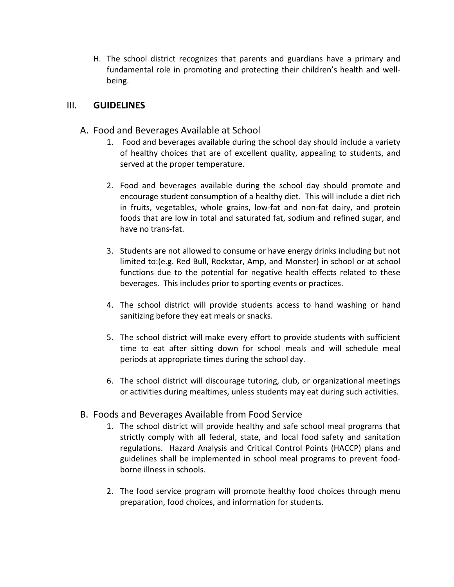H. The school district recognizes that parents and guardians have a primary and fundamental role in promoting and protecting their children's health and wellbeing.

# III. **GUIDELINES**

- A. Food and Beverages Available at School
	- 1. Food and beverages available during the school day should include a variety of healthy choices that are of excellent quality, appealing to students, and served at the proper temperature.
	- 2. Food and beverages available during the school day should promote and encourage student consumption of a healthy diet. This will include a diet rich in fruits, vegetables, whole grains, low-fat and non-fat dairy, and protein foods that are low in total and saturated fat, sodium and refined sugar, and have no trans-fat.
	- 3. Students are not allowed to consume or have energy drinks including but not limited to:(e.g. Red Bull, Rockstar, Amp, and Monster) in school or at school functions due to the potential for negative health effects related to these beverages. This includes prior to sporting events or practices.
	- 4. The school district will provide students access to hand washing or hand sanitizing before they eat meals or snacks.
	- 5. The school district will make every effort to provide students with sufficient time to eat after sitting down for school meals and will schedule meal periods at appropriate times during the school day.
	- 6. The school district will discourage tutoring, club, or organizational meetings or activities during mealtimes, unless students may eat during such activities.

# B. Foods and Beverages Available from Food Service

- 1. The school district will provide healthy and safe school meal programs that strictly comply with all federal, state, and local food safety and sanitation regulations. Hazard Analysis and Critical Control Points (HACCP) plans and guidelines shall be implemented in school meal programs to prevent foodborne illness in schools.
- 2. The food service program will promote healthy food choices through menu preparation, food choices, and information for students.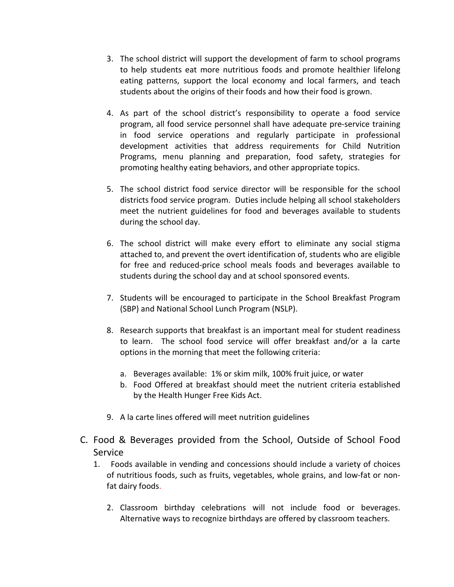- 3. The school district will support the development of farm to school programs to help students eat more nutritious foods and promote healthier lifelong eating patterns, support the local economy and local farmers, and teach students about the origins of their foods and how their food is grown.
- 4. As part of the school district's responsibility to operate a food service program, all food service personnel shall have adequate pre-service training in food service operations and regularly participate in professional development activities that address requirements for Child Nutrition Programs, menu planning and preparation, food safety, strategies for promoting healthy eating behaviors, and other appropriate topics.
- 5. The school district food service director will be responsible for the school districts food service program. Duties include helping all school stakeholders meet the nutrient guidelines for food and beverages available to students during the school day.
- 6. The school district will make every effort to eliminate any social stigma attached to, and prevent the overt identification of, students who are eligible for free and reduced-price school meals foods and beverages available to students during the school day and at school sponsored events.
- 7. Students will be encouraged to participate in the School Breakfast Program (SBP) and National School Lunch Program (NSLP).
- 8. Research supports that breakfast is an important meal for student readiness to learn. The school food service will offer breakfast and/or a la carte options in the morning that meet the following criteria:
	- a. Beverages available: 1% or skim milk, 100% fruit juice, or water
	- b. Food Offered at breakfast should meet the nutrient criteria established by the Health Hunger Free Kids Act.
- 9. A la carte lines offered will meet nutrition guidelines
- C. Food & Beverages provided from the School, Outside of School Food Service
	- 1. Foods available in vending and concessions should include a variety of choices of nutritious foods, such as fruits, vegetables, whole grains, and low-fat or nonfat dairy foods.
		- 2. Classroom birthday celebrations will not include food or beverages. Alternative ways to recognize birthdays are offered by classroom teachers.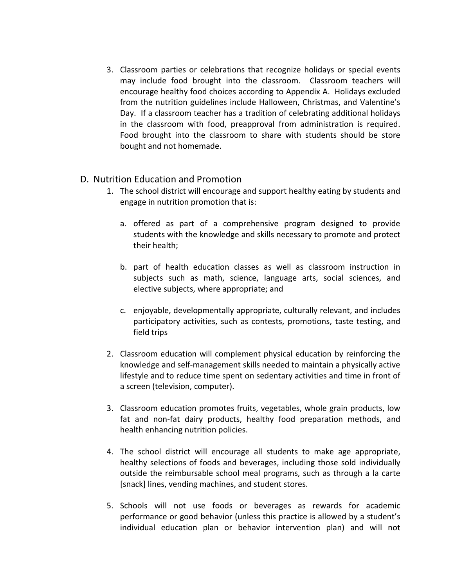3. Classroom parties or celebrations that recognize holidays or special events may include food brought into the classroom. Classroom teachers will encourage healthy food choices according to Appendix A. Holidays excluded from the nutrition guidelines include Halloween, Christmas, and Valentine's Day. If a classroom teacher has a tradition of celebrating additional holidays in the classroom with food, preapproval from administration is required. Food brought into the classroom to share with students should be store bought and not homemade.

## D. Nutrition Education and Promotion

- 1. The school district will encourage and support healthy eating by students and engage in nutrition promotion that is:
	- a. offered as part of a comprehensive program designed to provide students with the knowledge and skills necessary to promote and protect their health;
	- b. part of health education classes as well as classroom instruction in subjects such as math, science, language arts, social sciences, and elective subjects, where appropriate; and
	- c. enjoyable, developmentally appropriate, culturally relevant, and includes participatory activities, such as contests, promotions, taste testing, and field trips
- 2. Classroom education will complement physical education by reinforcing the knowledge and self-management skills needed to maintain a physically active lifestyle and to reduce time spent on sedentary activities and time in front of a screen (television, computer).
- 3. Classroom education promotes fruits, vegetables, whole grain products, low fat and non-fat dairy products, healthy food preparation methods, and health enhancing nutrition policies.
- 4. The school district will encourage all students to make age appropriate, healthy selections of foods and beverages, including those sold individually outside the reimbursable school meal programs, such as through a la carte [snack] lines, vending machines, and student stores.
- 5. Schools will not use foods or beverages as rewards for academic performance or good behavior (unless this practice is allowed by a student's individual education plan or behavior intervention plan) and will not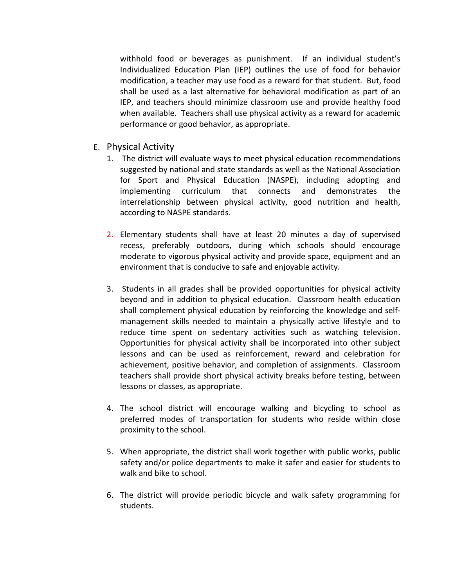withhold food or beverages as punishment. If an individual student's Individualized Education Plan (IEP) outlines the use of food for behavior modification, a teacher may use food as a reward for that student. But, food shall be used as a last alternative for behavioral modification as part of an IEP, and teachers should minimize classroom use and provide healthy food when available. Teachers shall use physical activity as a reward for academic performance or good behavior, as appropriate.

- E. Physical Activity
	- 1. The district will evaluate ways to meet physical education recommendations suggested by national and state standards as well as the National Association for Sport and Physical Education (NASPE), including adopting and implementing curriculum that connects and demonstrates the interrelationship between physical activity, good nutrition and health, according to NASPE standards.
	- 2. Elementary students shall have at least 20 minutes a day of supervised recess, preferably outdoors, during which schools should encourage moderate to vigorous physical activity and provide space, equipment and an environment that is conducive to safe and enjoyable activity.
	- 3. Students in all grades shall be provided opportunities for physical activity beyond and in addition to physical education. Classroom health education shall complement physical education by reinforcing the knowledge and selfmanagement skills needed to maintain a physically active lifestyle and to reduce time spent on sedentary activities such as watching television. Opportunities for physical activity shall be incorporated into other subject lessons and can be used as reinforcement, reward and celebration for achievement, positive behavior, and completion of assignments. Classroom teachers shall provide short physical activity breaks before testing, between lessons or classes, as appropriate.
	- 4. The school district will encourage walking and bicycling to school as preferred modes of transportation for students who reside within close proximity to the school.
	- 5. When appropriate, the district shall work together with public works, public safety and/or police departments to make it safer and easier for students to walk and bike to school.
	- 6. The district will provide periodic bicycle and walk safety programming for students.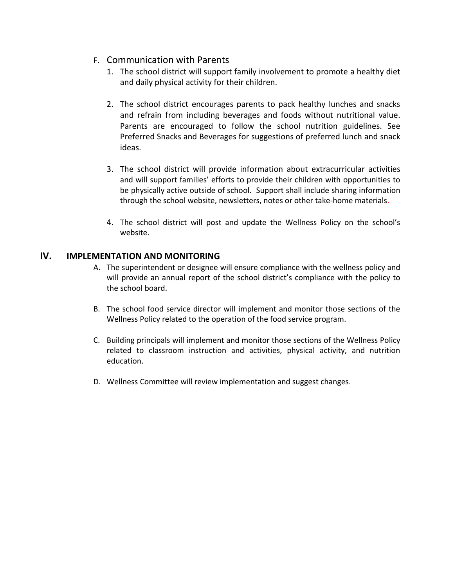- F. Communication with Parents
	- 1. The school district will support family involvement to promote a healthy diet and daily physical activity for their children.
	- 2. The school district encourages parents to pack healthy lunches and snacks and refrain from including beverages and foods without nutritional value. Parents are encouraged to follow the school nutrition guidelines. See Preferred Snacks and Beverages for suggestions of preferred lunch and snack ideas.
	- 3. The school district will provide information about extracurricular activities and will support families' efforts to provide their children with opportunities to be physically active outside of school. Support shall include sharing information through the school website, newsletters, notes or other take-home materials.
	- 4. The school district will post and update the Wellness Policy on the school's website.

## **IV. IMPLEMENTATION AND MONITORING**

- A. The superintendent or designee will ensure compliance with the wellness policy and will provide an annual report of the school district's compliance with the policy to the school board.
- B. The school food service director will implement and monitor those sections of the Wellness Policy related to the operation of the food service program.
- C. Building principals will implement and monitor those sections of the Wellness Policy related to classroom instruction and activities, physical activity, and nutrition education.
- D. Wellness Committee will review implementation and suggest changes.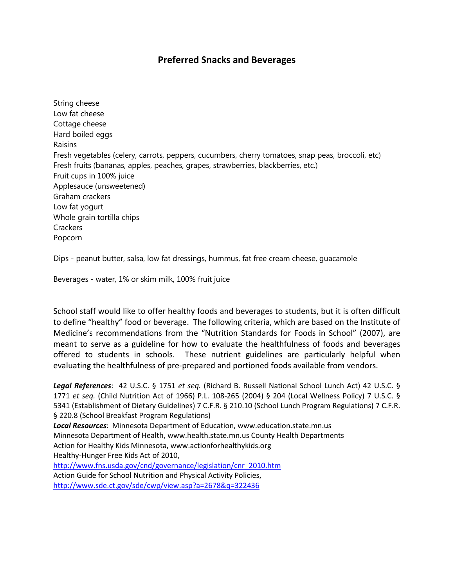# **Preferred Snacks and Beverages**

String cheese Low fat cheese Cottage cheese Hard boiled eggs Raisins Fresh vegetables (celery, carrots, peppers, cucumbers, cherry tomatoes, snap peas, broccoli, etc) Fresh fruits (bananas, apples, peaches, grapes, strawberries, blackberries, etc.) Fruit cups in 100% juice Applesauce (unsweetened) Graham crackers Low fat yogurt Whole grain tortilla chips **Crackers** Popcorn

Dips - peanut butter, salsa, low fat dressings, hummus, fat free cream cheese, guacamole

Beverages - water, 1% or skim milk, 100% fruit juice

School staff would like to offer healthy foods and beverages to students, but it is often difficult to define "healthy" food or beverage. The following criteria, which are based on the Institute of Medicine's recommendations from the "Nutrition Standards for Foods in School" (2007), are meant to serve as a guideline for how to evaluate the healthfulness of foods and beverages offered to students in schools. These nutrient guidelines are particularly helpful when evaluating the healthfulness of pre-prepared and portioned foods available from vendors.

*Legal References*: 42 U.S.C. § 1751 *et seq.* (Richard B. Russell National School Lunch Act) 42 U.S.C. § 1771 *et seq.* (Child Nutrition Act of 1966) P.L. 108-265 (2004) § 204 (Local Wellness Policy) 7 U.S.C. § 5341 (Establishment of Dietary Guidelines) 7 C.F.R. § 210.10 (School Lunch Program Regulations) 7 C.F.R. § 220.8 (School Breakfast Program Regulations) *Local Resources*: Minnesota Department of Education, www.education.state.mn.us Minnesota Department of Health, www.health.state.mn.us County Health Departments Action for Healthy Kids Minnesota, www.actionforhealthykids.org Healthy-Hunger Free Kids Act of 2010, [http://www.fns.usda.gov/cnd/governance/legislation/cnr\\_2010.htm](http://www.fns.usda.gov/cnd/governance/legislation/cnr_2010.htm)

Action Guide for School Nutrition and Physical Activity Policies, <http://www.sde.ct.gov/sde/cwp/view.asp?a=2678&q=322436>